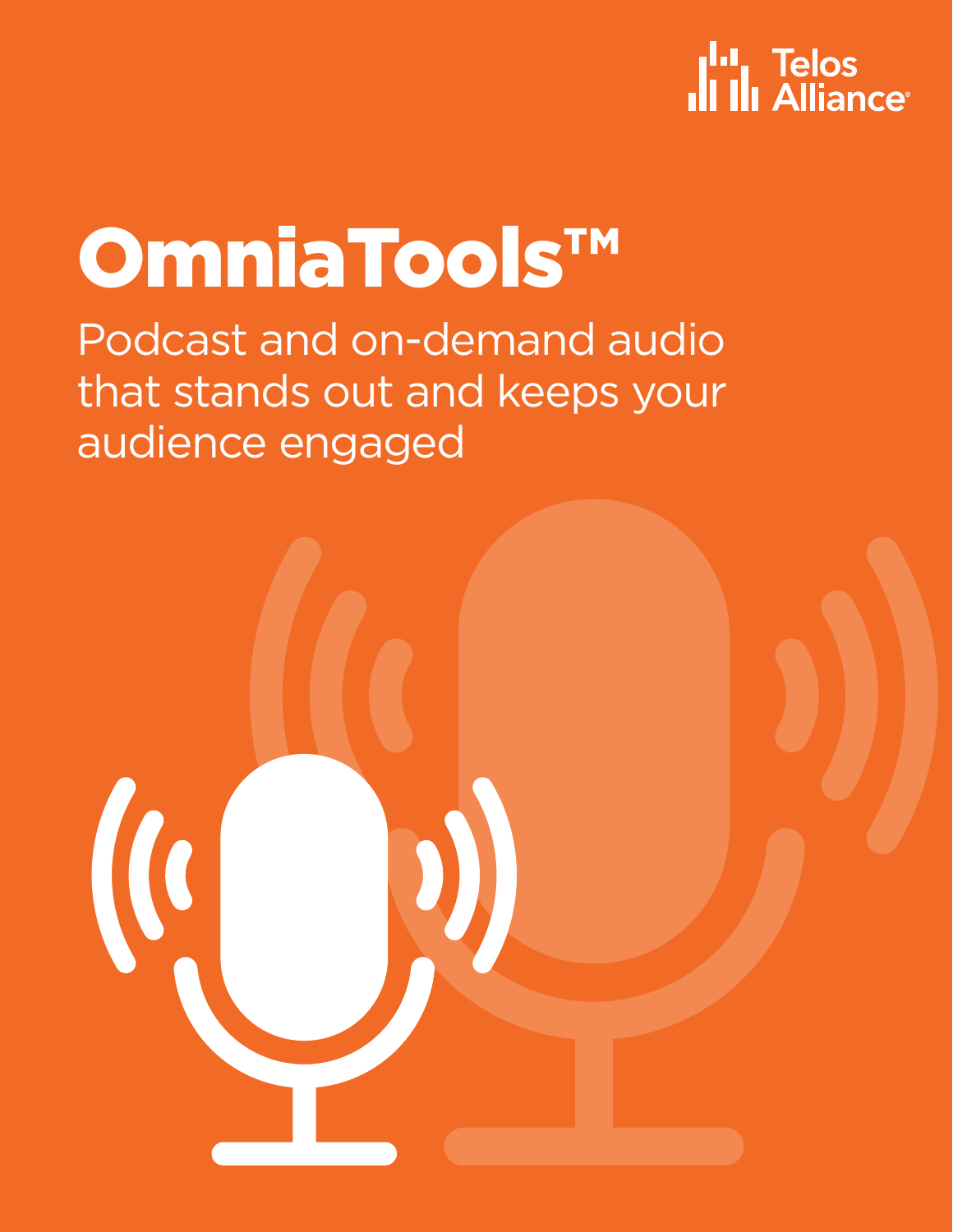## **I<sup>I.</sup>I.** Telos<br>**III** III Alliance<sup>®</sup>

# OmniaTools™

Podcast and on-demand audio that stands out and keeps your audience engaged

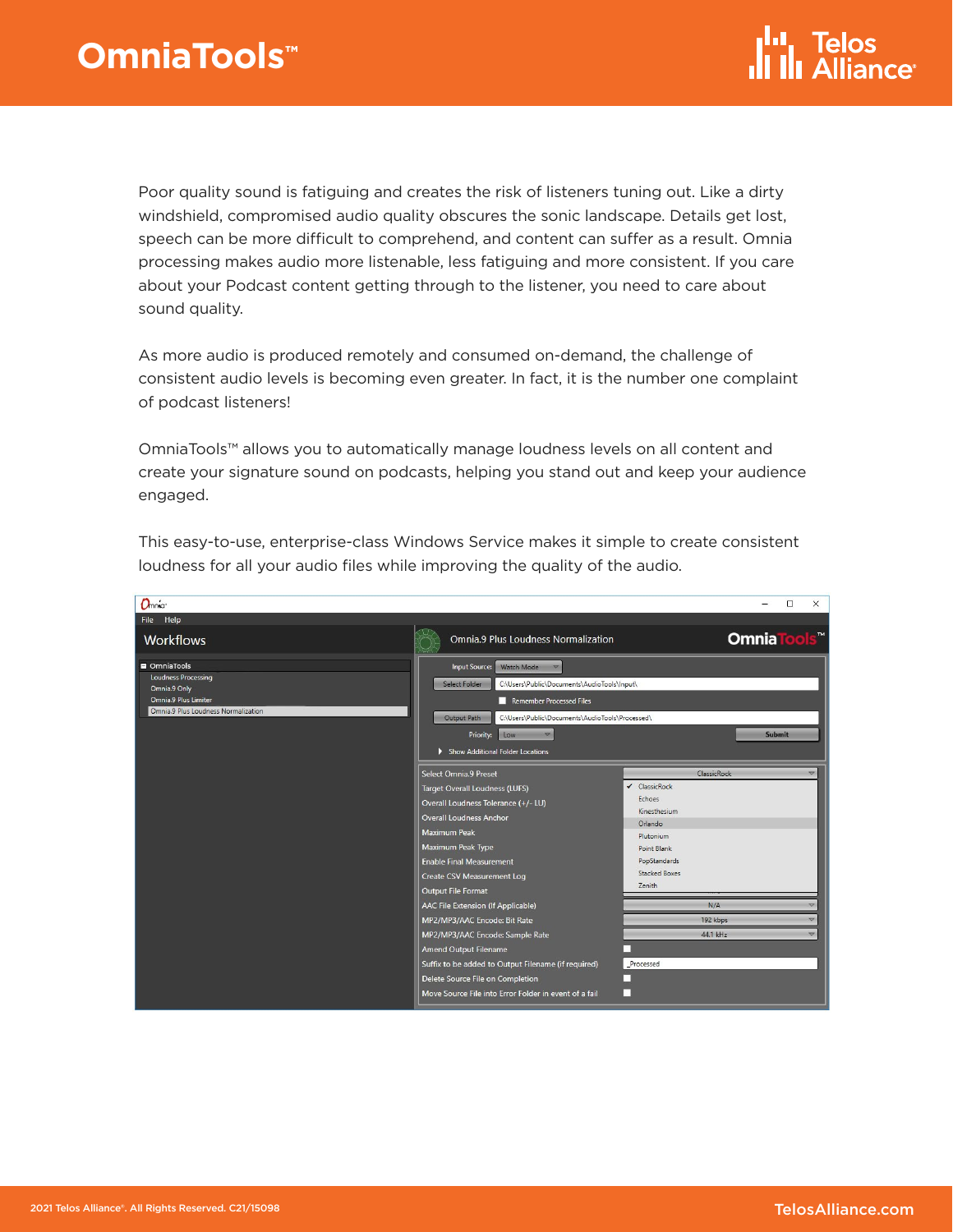Poor quality sound is fatiguing and creates the risk of listeners tuning out. Like a dirty windshield, compromised audio quality obscures the sonic landscape. Details get lost, speech can be more difficult to comprehend, and content can suffer as a result. Omnia processing makes audio more listenable, less fatiguing and more consistent. If you care about your Podcast content getting through to the listener, you need to care about sound quality.

As more audio is produced remotely and consumed on-demand, the challenge of consistent audio levels is becoming even greater. In fact, it is the number one complaint of podcast listeners!

OmniaTools™ allows you to automatically manage loudness levels on all content and create your signature sound on podcasts, helping you stand out and keep your audience engaged.

| Onnia                                                                                                                          |                                                                                                                                                                                                                                                                                                                                                                                                                                                                                                                                                           | $\Box$<br>$\times$                                                                                                                                                                                                                                                                                         |
|--------------------------------------------------------------------------------------------------------------------------------|-----------------------------------------------------------------------------------------------------------------------------------------------------------------------------------------------------------------------------------------------------------------------------------------------------------------------------------------------------------------------------------------------------------------------------------------------------------------------------------------------------------------------------------------------------------|------------------------------------------------------------------------------------------------------------------------------------------------------------------------------------------------------------------------------------------------------------------------------------------------------------|
| File Help                                                                                                                      |                                                                                                                                                                                                                                                                                                                                                                                                                                                                                                                                                           |                                                                                                                                                                                                                                                                                                            |
| <b>Workflows</b>                                                                                                               | Omnia.9 Plus Loudness Normalization                                                                                                                                                                                                                                                                                                                                                                                                                                                                                                                       | OmniaTools"                                                                                                                                                                                                                                                                                                |
| OmniaTools<br><b>Loudness Processing</b><br>Omnia.9 Only<br><b>Omnia.9 Plus Limiter</b><br>Omnia.9 Plus Loudness Normalization | Input Source: Watch Mode<br>Select Folder<br>C:\Users\Public\Documents\AudioTools\Input\<br>Remember Processed Files<br><b>Output Path</b><br>C:\Users\Public\Documents\AudioTools\Processed\<br>Priority:<br><b>V</b><br>Low<br>Show Additional Folder Locations                                                                                                                                                                                                                                                                                         | Submit                                                                                                                                                                                                                                                                                                     |
|                                                                                                                                | <b>Select Omnia.9 Preset</b><br>Target Overall Loudness (LUFS)<br>Overall Loudness Tolerance (+/- LU)<br><b>Overall Loudness Anchor</b><br>Maximum Peak<br>Maximum Peak Type<br><b>Enable Final Measurement</b><br>Create CSV Measurement Log<br>Output File Format<br>AAC File Extension (If Applicable)<br>MP2/MP3/AAC Encode: Bit Rate<br>MP2/MP3/AAC Encode: Sample Rate<br>Amend Output Filename<br>Suffix to be added to Output Filename (if required)<br>Delete Source File on Completion<br>Move Source File into Error Folder in event of a fail | ClassicRock<br>$\triangledown$<br>ClassicRock<br>$\checkmark$<br>Echoes<br>Kinesthesium<br>Orlando<br>Plutonium<br>Point Blank<br>PopStandards<br><b>Stacked Boxes</b><br>Zenith<br>N/A<br>$\overline{\phantom{a}}$<br>192 kbps<br>$\overline{\nabla}$<br>44.1 kHz<br>$\overline{\mathbf{v}}$<br>Processed |

This easy-to-use, enterprise-class Windows Service makes it simple to create consistent loudness for all your audio files while improving the quality of the audio.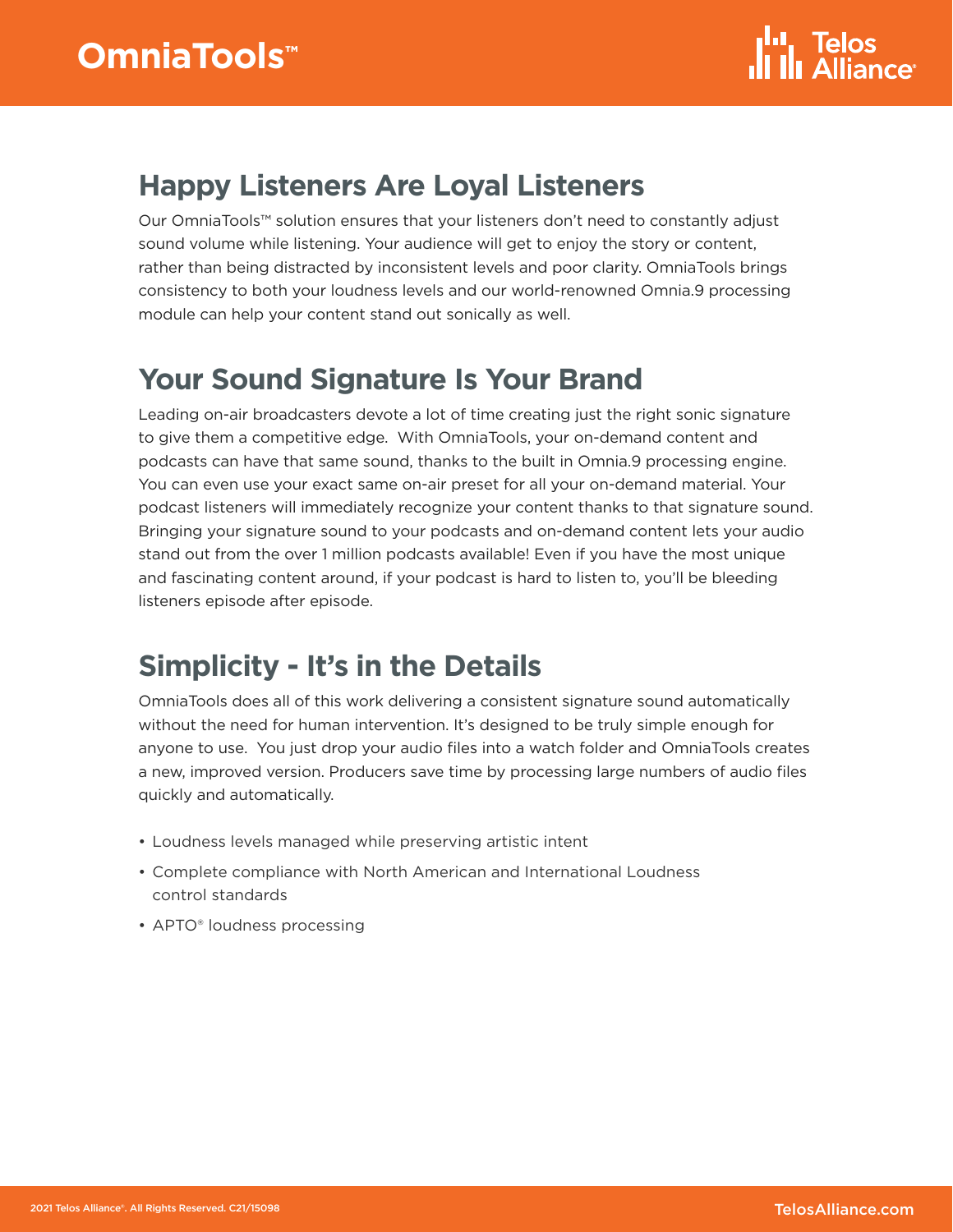#### **Happy Listeners Are Loyal Listeners**

Our OmniaTools™ solution ensures that your listeners don't need to constantly adjust sound volume while listening. Your audience will get to enjoy the story or content, rather than being distracted by inconsistent levels and poor clarity. OmniaTools brings consistency to both your loudness levels and our world-renowned Omnia.9 processing module can help your content stand out sonically as well.

#### **Your Sound Signature Is Your Brand**

Leading on-air broadcasters devote a lot of time creating just the right sonic signature to give them a competitive edge. With OmniaTools, your on-demand content and podcasts can have that same sound, thanks to the built in Omnia.9 processing engine. You can even use your exact same on-air preset for all your on-demand material. Your podcast listeners will immediately recognize your content thanks to that signature sound. Bringing your signature sound to your podcasts and on-demand content lets your audio stand out from the over 1 million podcasts available! Even if you have the most unique and fascinating content around, if your podcast is hard to listen to, you'll be bleeding listeners episode after episode.

### **Simplicity - It's in the Details**

OmniaTools does all of this work delivering a consistent signature sound automatically without the need for human intervention. It's designed to be truly simple enough for anyone to use. You just drop your audio files into a watch folder and OmniaTools creates a new, improved version. Producers save time by processing large numbers of audio files quickly and automatically.

- Loudness levels managed while preserving artistic intent
- Complete compliance with North American and International Loudness control standards
- APTO<sup>®</sup> loudness processing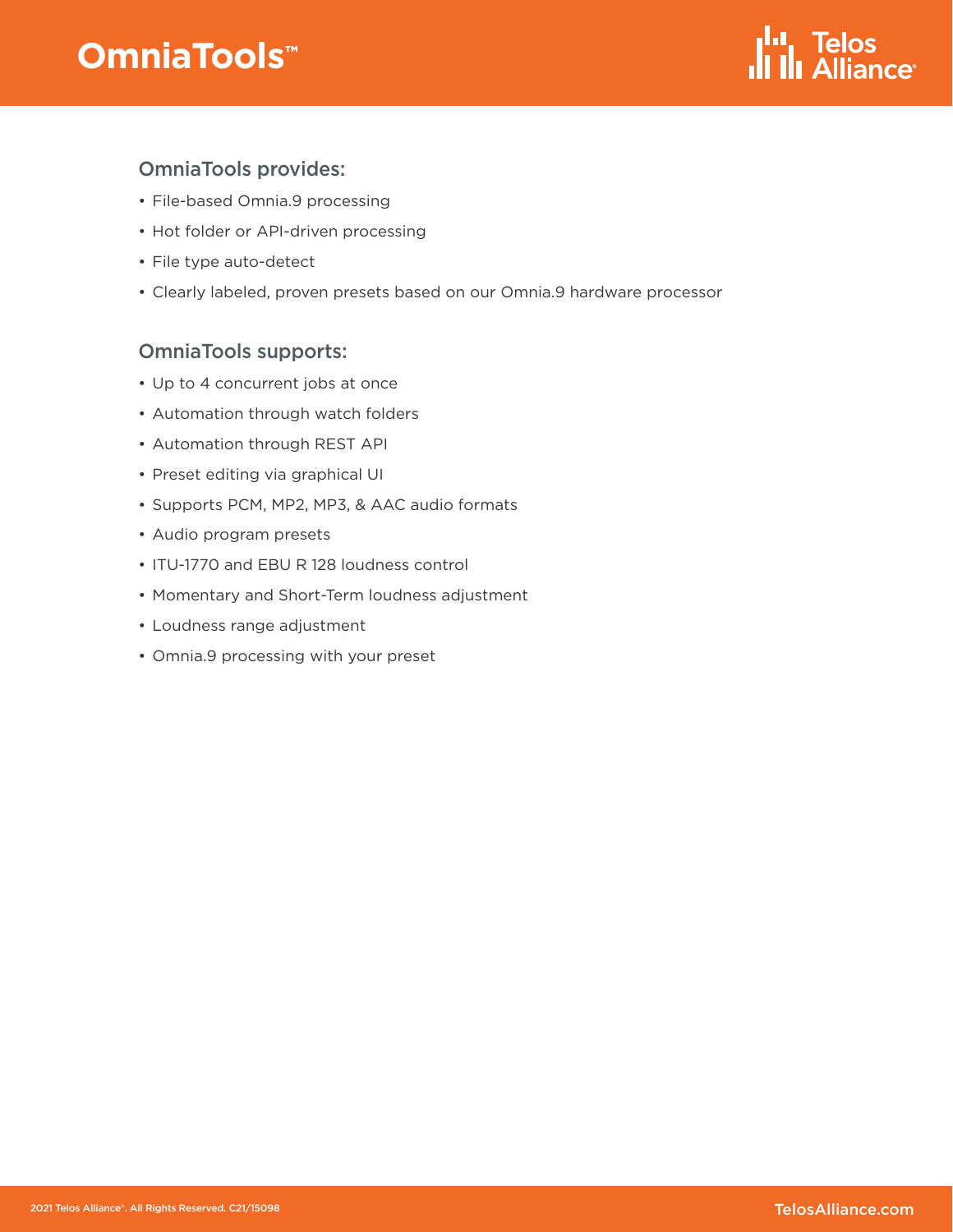## **OmniaTools**™



#### OmniaTools provides:

- File-based Omnia.9 processing
- Hot folder or API-driven processing
- File type auto-detect
- Clearly labeled, proven presets based on our Omnia.9 hardware processor

#### OmniaTools supports:

- Up to 4 concurrent jobs at once
- Automation through watch folders
- Automation through REST API
- Preset editing via graphical UI
- Supports PCM, MP2, MP3, & AAC audio formats
- Audio program presets
- ITU-1770 and EBU R 128 loudness control
- Momentary and Short-Term loudness adjustment
- Loudness range adjustment
- Omnia.9 processing with your preset